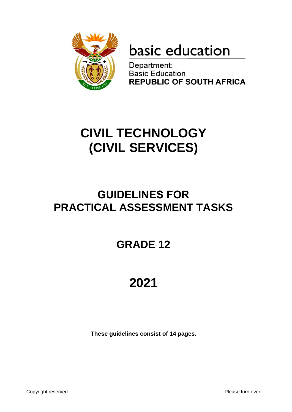

# basic education

Department: **Basic Education REPUBLIC OF SOUTH AFRICA** 

## **CIVIL TECHNOLOGY (CIVIL SERVICES)**

### **GUIDELINES FOR PRACTICAL ASSESSMENT TASKS**

## **GRADE 12**

## **2021**

**These guidelines consist of 14 pages.**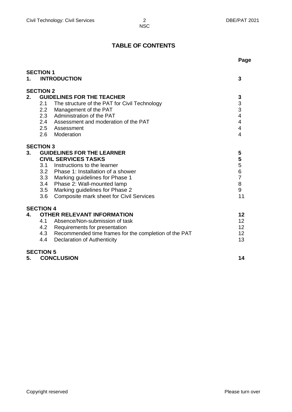### **TABLE OF CONTENTS**

|    |                                                           | Page                    |
|----|-----------------------------------------------------------|-------------------------|
|    | <b>SECTION 1</b>                                          |                         |
| 1. | <b>INTRODUCTION</b>                                       | 3                       |
|    |                                                           |                         |
|    | <b>SECTION 2</b>                                          |                         |
| 2. | <b>GUIDELINES FOR THE TEACHER</b>                         | 3                       |
|    | 2.1<br>The structure of the PAT for Civil Technology      | 3                       |
|    | 2.2<br>Management of the PAT                              | 3                       |
|    | 2.3 Administration of the PAT                             | $\overline{4}$          |
|    | 2.4 Assessment and moderation of the PAT                  | $\overline{\mathbf{4}}$ |
|    | 2.5<br>Assessment                                         | $\overline{\mathbf{4}}$ |
|    | 2.6 Moderation                                            | $\overline{\mathbf{4}}$ |
|    | <b>SECTION 3</b>                                          |                         |
| 3. | <b>GUIDELINES FOR THE LEARNER</b>                         | 5                       |
|    | <b>CIVIL SERVICES TASKS</b>                               | 5                       |
|    | 3.1 Instructions to the learner                           | 5                       |
|    | 3.2 Phase 1: Installation of a shower                     | 6                       |
|    | 3.3 Marking guidelines for Phase 1                        | $\overline{7}$          |
|    | 3.4<br>Phase 2: Wall-mounted lamp                         | 8                       |
|    | Marking guidelines for Phase 2<br>3.5                     | 9                       |
|    | Composite mark sheet for Civil Services<br>3.6            | 11                      |
|    | <b>SECTION 4</b>                                          |                         |
| 4. | <b>OTHER RELEVANT INFORMATION</b>                         | 12                      |
|    | 4.1<br>Absence/Non-submission of task                     | 12                      |
|    | 4.2<br>Requirements for presentation                      | 12                      |
|    | 4.3 Recommended time frames for the completion of the PAT | 12                      |
|    | 4.4<br><b>Declaration of Authenticity</b>                 | 13                      |
|    | <b>SECTION 5</b>                                          |                         |
| 5. | <b>CONCLUSION</b>                                         | 14                      |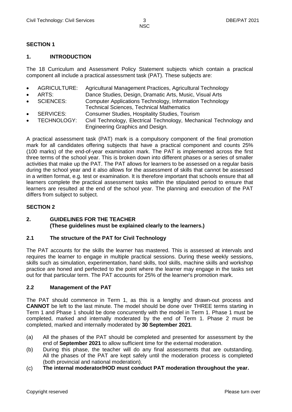#### **SECTION 1**

#### **1. INTRODUCTION**

The 18 Curriculum and Assessment Policy Statement subjects which contain a practical component all include a practical assessment task (PAT). These subjects are:

- AGRICULTURE: Agricultural Management Practices, Agricultural Technology
- ARTS: Dance Studies, Design, Dramatic Arts, Music, Visual Arts
- SCIENCES: Computer Applications Technology, Information Technology
- Technical Sciences, Technical Mathematics
- SERVICES: Consumer Studies, Hospitality Studies, Tourism
- TECHNOLOGY: Civil Technology, Electrical Technology, Mechanical Technology and Engineering Graphics and Design.

A practical assessment task (PAT) mark is a compulsory component of the final promotion mark for all candidates offering subjects that have a practical component and counts 25% (100 marks) of the end-of-year examination mark. The PAT is implemented across the first three terms of the school year. This is broken down into different phases or a series of smaller activities that make up the PAT. The PAT allows for learners to be assessed on a regular basis during the school year and it also allows for the assessment of skills that cannot be assessed in a written format, e.g. test or examination. It is therefore important that schools ensure that all learners complete the practical assessment tasks within the stipulated period to ensure that learners are resulted at the end of the school year. The planning and execution of the PAT differs from subject to subject.

#### **SECTION 2**

#### **2. GUIDELINES FOR THE TEACHER (These guidelines must be explained clearly to the learners.)**

#### **2.1 The structure of the PAT for Civil Technology**

The PAT accounts for the skills the learner has mastered. This is assessed at intervals and requires the learner to engage in multiple practical sessions. During these weekly sessions, skills such as simulation, experimentation, hand skills, tool skills, machine skills and workshop practice are honed and perfected to the point where the learner may engage in the tasks set out for that particular term. The PAT accounts for 25% of the learner's promotion mark.

#### **2.2 Management of the PAT**

The PAT should commence in Term 1, as this is a lengthy and drawn-out process and **CANNOT** be left to the last minute. The model should be done over THREE terms starting in Term 1 and Phase 1 should be done concurrently with the model in Term 1. Phase 1 must be completed, marked and internally moderated by the end of Term 1. Phase 2 must be completed, marked and internally moderated by **30 September 2021**.

- (a) All the phases of the PAT should be completed and presented for assessment by the end of **September 2021** to allow sufficient time for the external moderation.
- (b) During this phase, the teacher will do any final assessments that are outstanding. All the phases of the PAT are kept safely until the moderation process is completed (both provincial and national moderation).
- (c) **The internal moderator/HOD must conduct PAT moderation throughout the year.**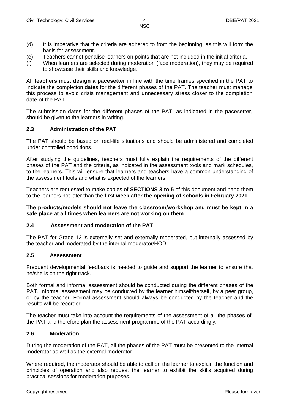- (d) It is imperative that the criteria are adhered to from the beginning, as this will form the basis for assessment.
- (e) Teachers cannot penalise learners on points that are not included in the initial criteria.
- (f) When learners are selected during moderation (face moderation), they may be required to showcase their skills and knowledge.

All **teachers** must **design a pacesetter** in line with the time frames specified in the PAT to indicate the completion dates for the different phases of the PAT. The teacher must manage this process to avoid crisis management and unnecessary stress closer to the completion date of the PAT.

The submission dates for the different phases of the PAT, as indicated in the pacesetter, should be given to the learners in writing.

#### **2.3 Administration of the PAT**

The PAT should be based on real-life situations and should be administered and completed under controlled conditions.

After studying the guidelines, teachers must fully explain the requirements of the different phases of the PAT and the criteria, as indicated in the assessment tools and mark schedules, to the learners. This will ensure that learners and teachers have a common understanding of the assessment tools and what is expected of the learners.

Teachers are requested to make copies of **SECTIONS 3 to 5** of this document and hand them to the learners not later than the **first week after the opening of schools in February 2021**.

**The products/models should not leave the classroom/workshop and must be kept in a safe place at all times when learners are not working on them.**

#### **2.4 Assessment and moderation of the PAT**

The PAT for Grade 12 is externally set and externally moderated, but internally assessed by the teacher and moderated by the internal moderator/HOD.

#### **2.5 Assessment**

Frequent developmental feedback is needed to guide and support the learner to ensure that he/she is on the right track.

Both formal and informal assessment should be conducted during the different phases of the PAT. Informal assessment may be conducted by the learner himself/herself, by a peer group, or by the teacher. Formal assessment should always be conducted by the teacher and the results will be recorded.

The teacher must take into account the requirements of the assessment of all the phases of the PAT and therefore plan the assessment programme of the PAT accordingly.

#### **2.6 Moderation**

During the moderation of the PAT, all the phases of the PAT must be presented to the internal moderator as well as the external moderator.

Where required, the moderator should be able to call on the learner to explain the function and principles of operation and also request the learner to exhibit the skills acquired during practical sessions for moderation purposes.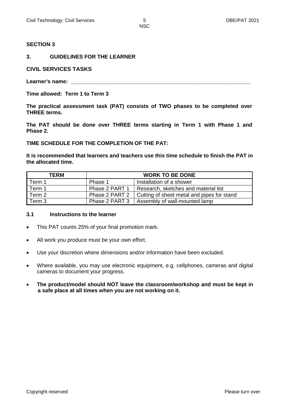#### **SECTION 3**

#### **3. GUIDELINES FOR THE LEARNER**

#### **CIVIL SERVICES TASKS**

Learner's name:

**Time allowed: Term 1 to Term 3**

**The practical assessment task (PAT) consists of TWO phases to be completed over THREE terms.** 

**The PAT should be done over THREE terms starting in Term 1 with Phase 1 and Phase 2.** 

**TIME SCHEDULE FOR THE COMPLETION OF THE PAT:**

**It is recommended that learners and teachers use this time schedule to finish the PAT in the allocated time.**

| TERM   | <b>WORK TO BE DONE</b> |                                            |  |  |  |  |  |
|--------|------------------------|--------------------------------------------|--|--|--|--|--|
| Term 1 | Phase 1                | Installation of a shower                   |  |  |  |  |  |
| Term 1 | Phase 2 PART 1         | Research, sketches and material list       |  |  |  |  |  |
| Term 2 | Phase 2 PART 2         | Cutting of sheet metal and pipes for stand |  |  |  |  |  |
| Term 3 | Phase 2 PART 3         | Assembly of wall-mounted lamp              |  |  |  |  |  |

#### **3.1 Instructions to the learner**

- This PAT counts 25% of your final promotion mark.
- All work you produce must be your own effort.
- Use your discretion where dimensions and/or information have been excluded.
- Where available, you may use electronic equipment, e.g. cellphones, cameras and digital cameras to document your progress.
- **The product/model should NOT leave the classroom/workshop and must be kept in a safe place at all times when you are not working on it.**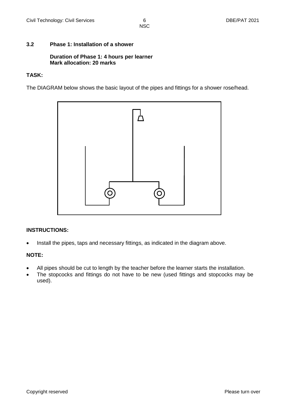#### **3.2 Phase 1: Installation of a shower**

#### **Duration of Phase 1: 4 hours per learner Mark allocation: 20 marks**

#### **TASK:**

The DIAGRAM below shows the basic layout of the pipes and fittings for a shower rose/head.



#### **INSTRUCTIONS:**

• Install the pipes, taps and necessary fittings, as indicated in the diagram above.

#### **NOTE:**

- All pipes should be cut to length by the teacher before the learner starts the installation.
- The stopcocks and fittings do not have to be new (used fittings and stopcocks may be used).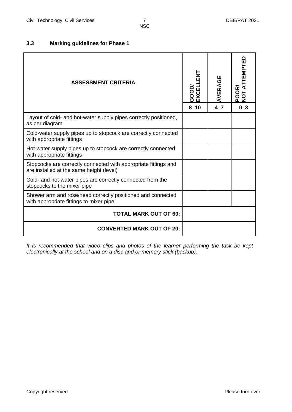#### **3.3 Marking guidelines for Phase 1**

| <b>ASSESSMENT CRITERIA</b>                                                                                  | 74<br>E<br>GOOD/<br>EXCELL | AVERAGE | <b>ATTEMPTED</b><br><b>POOR</b><br>NOT A' |
|-------------------------------------------------------------------------------------------------------------|----------------------------|---------|-------------------------------------------|
|                                                                                                             | $8 - 10$                   | $4 - 7$ | $0 - 3$                                   |
| Layout of cold- and hot-water supply pipes correctly positioned,<br>as per diagram                          |                            |         |                                           |
| Cold-water supply pipes up to stopcock are correctly connected<br>with appropriate fittings                 |                            |         |                                           |
| Hot-water supply pipes up to stopcock are correctly connected<br>with appropriate fittings                  |                            |         |                                           |
| Stopcocks are correctly connected with appropriate fittings and<br>are installed at the same height (level) |                            |         |                                           |
| Cold- and hot-water pipes are correctly connected from the<br>stopcocks to the mixer pipe                   |                            |         |                                           |
| Shower arm and rose/head correctly positioned and connected<br>with appropriate fittings to mixer pipe      |                            |         |                                           |
| <b>TOTAL MARK OUT OF 60:</b>                                                                                |                            |         |                                           |
| <b>CONVERTED MARK OUT OF 20:</b>                                                                            |                            |         |                                           |

*It is recommended that video clips and photos of the learner performing the task be kept electronically at the school and on a disc and or memory stick (backup).*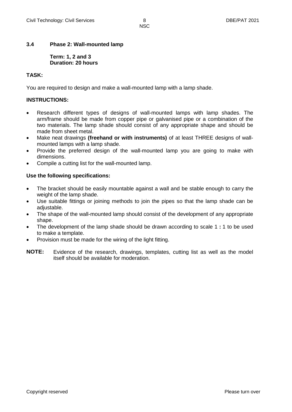#### **3.4 Phase 2: Wall-mounted lamp**

**Term: 1, 2 and 3 Duration: 20 hours**

#### **TASK:**

You are required to design and make a wall-mounted lamp with a lamp shade.

#### **INSTRUCTIONS:**

- Research different types of designs of wall-mounted lamps with lamp shades. The arm/frame should be made from copper pipe or galvanised pipe or a combination of the two materials. The lamp shade should consist of any appropriate shape and should be made from sheet metal.
- Make neat drawings **(freehand or with instruments)** of at least THREE designs of wallmounted lamps with a lamp shade.
- Provide the preferred design of the wall-mounted lamp you are going to make with dimensions.
- Compile a cutting list for the wall-mounted lamp.

#### **Use the following specifications:**

- The bracket should be easily mountable against a wall and be stable enough to carry the weight of the lamp shade.
- Use suitable fittings or joining methods to join the pipes so that the lamp shade can be adiustable.
- The shape of the wall-mounted lamp should consist of the development of any appropriate shape.
- The development of the lamp shade should be drawn according to scale 1 **:** 1 to be used to make a template.
- Provision must be made for the wiring of the light fitting.
- **NOTE:** Evidence of the research, drawings, templates, cutting list as well as the model itself should be available for moderation.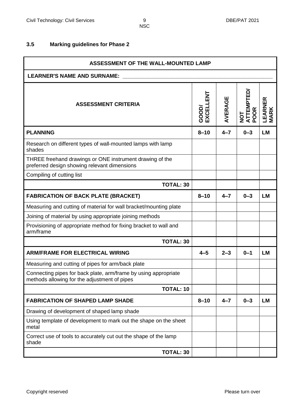#### **3.5 Marking guidelines for Phase 2**

| ASSESSMENT OF THE WALL-MOUNTED LAMP                                                                             |                   |         |                               |                        |  |  |  |  |  |  |  |
|-----------------------------------------------------------------------------------------------------------------|-------------------|---------|-------------------------------|------------------------|--|--|--|--|--|--|--|
| <b>LEARNER'S NAME AND SURNAME:</b>                                                                              |                   |         |                               |                        |  |  |  |  |  |  |  |
| <b>ASSESSMENT CRITERIA</b>                                                                                      | EXCELLENT<br>GOOD | AVERAGE | <b>ATTEMPTED</b><br><b>OR</b> | LEARNER<br><b>MARK</b> |  |  |  |  |  |  |  |
| <b>PLANNING</b>                                                                                                 | $8 - 10$          | $4 - 7$ | $0 - 3$                       | <b>LM</b>              |  |  |  |  |  |  |  |
| Research on different types of wall-mounted lamps with lamp<br>shades                                           |                   |         |                               |                        |  |  |  |  |  |  |  |
| THREE freehand drawings or ONE instrument drawing of the<br>preferred design showing relevant dimensions        |                   |         |                               |                        |  |  |  |  |  |  |  |
| Compiling of cutting list                                                                                       |                   |         |                               |                        |  |  |  |  |  |  |  |
| <b>TOTAL: 30</b>                                                                                                |                   |         |                               |                        |  |  |  |  |  |  |  |
| <b>FABRICATION OF BACK PLATE (BRACKET)</b>                                                                      | $8 - 10$          | $4 - 7$ | $0 - 3$                       | <b>LM</b>              |  |  |  |  |  |  |  |
| Measuring and cutting of material for wall bracket/mounting plate                                               |                   |         |                               |                        |  |  |  |  |  |  |  |
| Joining of material by using appropriate joining methods                                                        |                   |         |                               |                        |  |  |  |  |  |  |  |
| Provisioning of appropriate method for fixing bracket to wall and<br>arm/frame                                  |                   |         |                               |                        |  |  |  |  |  |  |  |
| <b>TOTAL: 30</b>                                                                                                |                   |         |                               |                        |  |  |  |  |  |  |  |
| <b>ARM/FRAME FOR ELECTRICAL WIRING</b>                                                                          | $4 - 5$           | $2 - 3$ | $0 - 1$                       | <b>LM</b>              |  |  |  |  |  |  |  |
| Measuring and cutting of pipes for arm/back plate                                                               |                   |         |                               |                        |  |  |  |  |  |  |  |
| Connecting pipes for back plate, arm/frame by using appropriate<br>methods allowing for the adjustment of pipes |                   |         |                               |                        |  |  |  |  |  |  |  |
| <b>TOTAL: 10</b>                                                                                                |                   |         |                               |                        |  |  |  |  |  |  |  |
| <b>FABRICATION OF SHAPED LAMP SHADE</b>                                                                         | $8 - 10$          | $4 - 7$ | $0 - 3$                       | <b>LM</b>              |  |  |  |  |  |  |  |
| Drawing of development of shaped lamp shade                                                                     |                   |         |                               |                        |  |  |  |  |  |  |  |
| Using template of development to mark out the shape on the sheet<br>metal                                       |                   |         |                               |                        |  |  |  |  |  |  |  |
| Correct use of tools to accurately cut out the shape of the lamp<br>shade                                       |                   |         |                               |                        |  |  |  |  |  |  |  |
| <b>TOTAL: 30</b>                                                                                                |                   |         |                               |                        |  |  |  |  |  |  |  |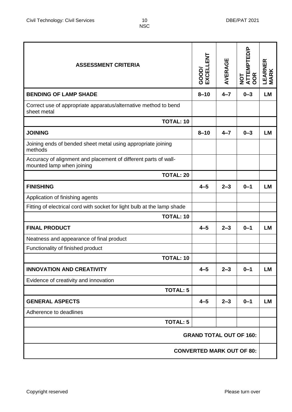| <b>ASSESSMENT CRITERIA</b>                                                                   | GOOD/<br>EXCELLENT               | AVERAGE | <b>NOT<br/>ATTEMPTED/P<br/>OOR</b> | LEARNER<br><b>MARK</b> |  |  |  |
|----------------------------------------------------------------------------------------------|----------------------------------|---------|------------------------------------|------------------------|--|--|--|
| <b>BENDING OF LAMP SHADE</b>                                                                 | $8 - 10$                         | $4 - 7$ | $0 - 3$                            | <b>LM</b>              |  |  |  |
| Correct use of appropriate apparatus/alternative method to bend<br>sheet metal               |                                  |         |                                    |                        |  |  |  |
| <b>TOTAL: 10</b>                                                                             |                                  |         |                                    |                        |  |  |  |
| <b>JOINING</b>                                                                               | $8 - 10$                         | $4 - 7$ | $0 - 3$                            | <b>LM</b>              |  |  |  |
| Joining ends of bended sheet metal using appropriate joining<br>methods                      |                                  |         |                                    |                        |  |  |  |
| Accuracy of alignment and placement of different parts of wall-<br>mounted lamp when joining |                                  |         |                                    |                        |  |  |  |
| <b>TOTAL: 20</b>                                                                             |                                  |         |                                    |                        |  |  |  |
| <b>FINISHING</b>                                                                             | $4 - 5$                          | $2 - 3$ | $0 - 1$                            | <b>LM</b>              |  |  |  |
| Application of finishing agents                                                              |                                  |         |                                    |                        |  |  |  |
| Fitting of electrical cord with socket for light bulb at the lamp shade                      |                                  |         |                                    |                        |  |  |  |
| <b>TOTAL: 10</b>                                                                             |                                  |         |                                    |                        |  |  |  |
| <b>FINAL PRODUCT</b>                                                                         | $4 - 5$                          | $2 - 3$ | $0 - 1$                            | <b>LM</b>              |  |  |  |
| Neatness and appearance of final product                                                     |                                  |         |                                    |                        |  |  |  |
| Functionality of finished product                                                            |                                  |         |                                    |                        |  |  |  |
| <b>TOTAL: 10</b>                                                                             |                                  |         |                                    |                        |  |  |  |
| <b>INNOVATION AND CREATIVITY</b>                                                             | $4 - 5$                          | $2 - 3$ | $0 - 1$                            | <b>LM</b>              |  |  |  |
| Evidence of creativity and innovation                                                        |                                  |         |                                    |                        |  |  |  |
| <b>TOTAL: 5</b>                                                                              |                                  |         |                                    |                        |  |  |  |
| <b>GENERAL ASPECTS</b>                                                                       | $4 - 5$                          | $2 - 3$ | $0 - 1$                            | <b>LM</b>              |  |  |  |
| Adherence to deadlines                                                                       |                                  |         |                                    |                        |  |  |  |
| <b>TOTAL: 5</b>                                                                              |                                  |         |                                    |                        |  |  |  |
| <b>GRAND TOTAL OUT OF 160:</b>                                                               |                                  |         |                                    |                        |  |  |  |
|                                                                                              | <b>CONVERTED MARK OUT OF 80:</b> |         |                                    |                        |  |  |  |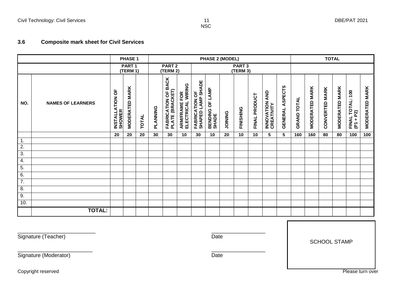#### **3.6 Composite mark sheet for Civil Services**

|                        |                          | PHASE 1                            |                       | <b>PHASE 2 (MODEL)</b>        |          |                                                            |                                    |                                             |                                 |                |           |                  |                              | <b>TOTAL</b>              |                    |                       |                       |                       |                                             |                       |
|------------------------|--------------------------|------------------------------------|-----------------------|-------------------------------|----------|------------------------------------------------------------|------------------------------------|---------------------------------------------|---------------------------------|----------------|-----------|------------------|------------------------------|---------------------------|--------------------|-----------------------|-----------------------|-----------------------|---------------------------------------------|-----------------------|
|                        |                          | PART <sub>1</sub><br>(TERM 1)      |                       | PART <sub>2</sub><br>(TERM 2) |          |                                                            | PART <sub>3</sub><br>(TERM 3)      |                                             |                                 |                |           |                  |                              |                           |                    |                       |                       |                       |                                             |                       |
| NO.                    | <b>NAMES OF LEARNERS</b> | p<br>INSTALLATION<br><b>SHOWER</b> | <b>MODERATED MARK</b> | <b>TOTAL</b>                  | PLANNING | <b>BACK</b><br><b>FABRICATION OF I<br/>PLATE (BRACKET)</b> | ARM/FRAME FOR<br>ELECTRICAL WIRING | <b>FABRICATION OF<br/>SHAPED LAMP SHADE</b> | <b>BENDING OF LAMP</b><br>SHADE | <b>JOINING</b> | FINISHING | PRODUCT<br>FINAL | INNOVATION AND<br>CREATIVITY | ASPECTS<br><b>GENERAL</b> | <b>GRAND TOTAL</b> | <b>MODERATED MARK</b> | <b>CONVERTED MARK</b> | <b>MODERATED MARK</b> | TOTAL: 100<br><b>FINAL TO<br/>(P1 + P2)</b> | <b>MODERATED MARK</b> |
|                        |                          | 20                                 | 20                    | 20                            | 30       | 30                                                         | 10                                 | 30                                          | 10                              | 20             | 10        | 10               | 5                            | 5                         | 160                | 160                   | 80                    | 80                    | 100                                         | 100                   |
| 1.<br>$\overline{2}$ . |                          |                                    |                       |                               |          |                                                            |                                    |                                             |                                 |                |           |                  |                              |                           |                    |                       |                       |                       |                                             |                       |
| $\overline{3}$ .       |                          |                                    |                       |                               |          |                                                            |                                    |                                             |                                 |                |           |                  |                              |                           |                    |                       |                       |                       |                                             |                       |
| 4.                     |                          |                                    |                       |                               |          |                                                            |                                    |                                             |                                 |                |           |                  |                              |                           |                    |                       |                       |                       |                                             |                       |
| 5.                     |                          |                                    |                       |                               |          |                                                            |                                    |                                             |                                 |                |           |                  |                              |                           |                    |                       |                       |                       |                                             |                       |
| 6.                     |                          |                                    |                       |                               |          |                                                            |                                    |                                             |                                 |                |           |                  |                              |                           |                    |                       |                       |                       |                                             |                       |
| $\overline{7}$ .       |                          |                                    |                       |                               |          |                                                            |                                    |                                             |                                 |                |           |                  |                              |                           |                    |                       |                       |                       |                                             |                       |
| $\overline{8}$ .       |                          |                                    |                       |                               |          |                                                            |                                    |                                             |                                 |                |           |                  |                              |                           |                    |                       |                       |                       |                                             |                       |
| 9.                     |                          |                                    |                       |                               |          |                                                            |                                    |                                             |                                 |                |           |                  |                              |                           |                    |                       |                       |                       |                                             |                       |
| 10.                    |                          |                                    |                       |                               |          |                                                            |                                    |                                             |                                 |                |           |                  |                              |                           |                    |                       |                       |                       |                                             |                       |
|                        | <b>TOTAL:</b>            |                                    |                       |                               |          |                                                            |                                    |                                             |                                 |                |           |                  |                              |                           |                    |                       |                       |                       |                                             |                       |

 $\overline{\phantom{a}}$  , and the contract of the contract of the contract of the contract of the contract of the contract of the contract of the contract of the contract of the contract of the contract of the contract of the contrac

 $\overline{\phantom{a}}$  , and the contract of the contract of the contract of the contract of the contract of the contract of the contract of the contract of the contract of the contract of the contract of the contract of the contrac

Signature (Teacher) Date

SCHOOL STAMP

Signature (Moderator) Date

Copyright reserved **Please turn over**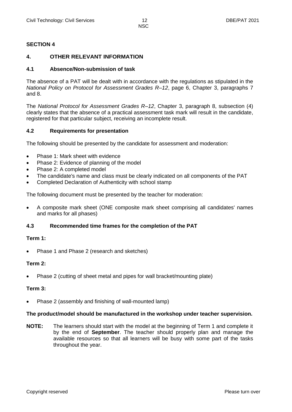#### **SECTION 4**

#### **4. OTHER RELEVANT INFORMATION**

#### **4.1 Absence/Non-submission of task**

The absence of a PAT will be dealt with in accordance with the regulations as stipulated in the *National Policy on Protocol for Assessment Grades R–12*, page 6, Chapter 3, paragraphs 7 and 8.

The *National Protocol for Assessment Grades R–12*, Chapter 3, paragraph 8, subsection (4) clearly states that the absence of a practical assessment task mark will result in the candidate, registered for that particular subject, receiving an incomplete result.

#### **4.2 Requirements for presentation**

The following should be presented by the candidate for assessment and moderation:

- Phase 1: Mark sheet with evidence
- Phase 2: Evidence of planning of the model
- Phase 2: A completed model
- The candidate's name and class must be clearly indicated on all components of the PAT
- Completed Declaration of Authenticity with school stamp

The following document must be presented by the teacher for moderation:

 A composite mark sheet (ONE composite mark sheet comprising all candidates' names and marks for all phases)

#### **4.3 Recommended time frames for the completion of the PAT**

#### **Term 1:**

Phase 1 and Phase 2 (research and sketches)

#### **Term 2:**

Phase 2 (cutting of sheet metal and pipes for wall bracket/mounting plate)

#### **Term 3:**

Phase 2 (assembly and finishing of wall-mounted lamp)

#### **The product/model should be manufactured in the workshop under teacher supervision.**

**NOTE:** The learners should start with the model at the beginning of Term 1 and complete it by the end of **September**. The teacher should properly plan and manage the available resources so that all learners will be busy with some part of the tasks throughout the year.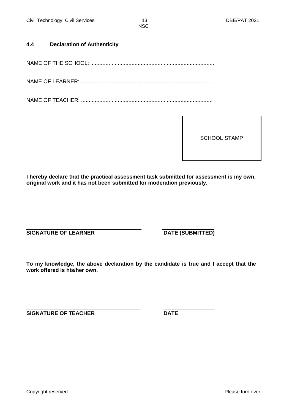#### **4.4 Declaration of Authenticity**

NAME OF THE SCHOOL: .................................................................................

NAME OF LEARNER:.......................................................................................

NAME OF TEACHER: ......................................................................................

SCHOOL STAMP

**I hereby declare that the practical assessment task submitted for assessment is my own, original work and it has not been submitted for moderation previously.**

**SIGNATURE OF LEARNER DATE (SUBMITTED)** 

**To my knowledge, the above declaration by the candidate is true and I accept that the work offered is his/her own.**

\_\_\_\_\_\_\_\_\_\_\_\_\_\_\_\_\_\_\_\_\_\_\_\_\_\_\_\_\_\_\_\_\_\_\_\_\_\_ \_\_\_\_\_\_\_\_\_\_\_\_\_\_\_\_\_ **SIGNATURE OF TEACHER DATE**